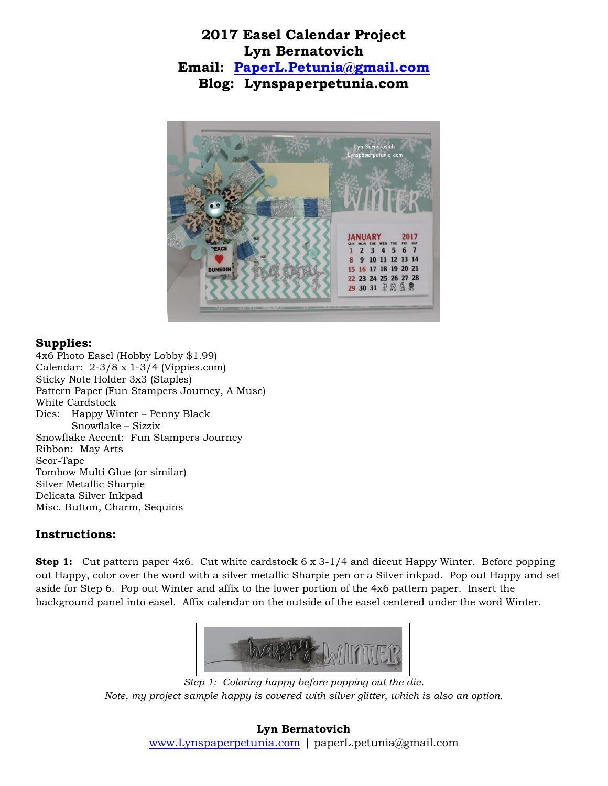## **2017 Easel Calendar Project Lyn Bernatovich Email: [PaperL.Petunia@gmail.com](mailto:PaperL.Petunia@gmail.com) Blog: Lynspaperpetunia.com**



## **Supplies:**

4x6 Photo Easel (Hobby Lobby \$1.99) Calendar: 2-3/8 x 1-3/4 (Vippies.com) Sticky Note Holder 3x3 (Staples) Pattern Paper (Fun Stampers Journey, A Muse) White Cardstock Dies: Happy Winter – Penny Black Snowflake – Sizzix Snowflake Accent: Fun Stampers Journey Ribbon: May Arts Scor-Tape Tombow Multi Glue (or similar) Silver Metallic Sharpie Delicata Silver Inkpad Misc. Button, Charm, Sequins

## **Instructions:**

**Step 1:** Cut pattern paper 4x6. Cut white cardstock 6 x 3-1/4 and diecut Happy Winter. Before popping out Happy, color over the word with a silver metallic Sharpie pen or a Silver inkpad. Pop out Happy and set aside for Step 6. Pop out Winter and affix to the lower portion of the 4x6 pattern paper. Insert the background panel into easel. Affix calendar on the outside of the easel centered under the word Winter.



*Step 1: Coloring happy before popping out the die. Note, my project sample happy is covered with silver glitter, which is also an option.*

## **Lyn Bernatovich** [www.Lynspaperpetunia.com](http://www.lynspaperpetunia.com/) | paperL.petunia@gmail.com